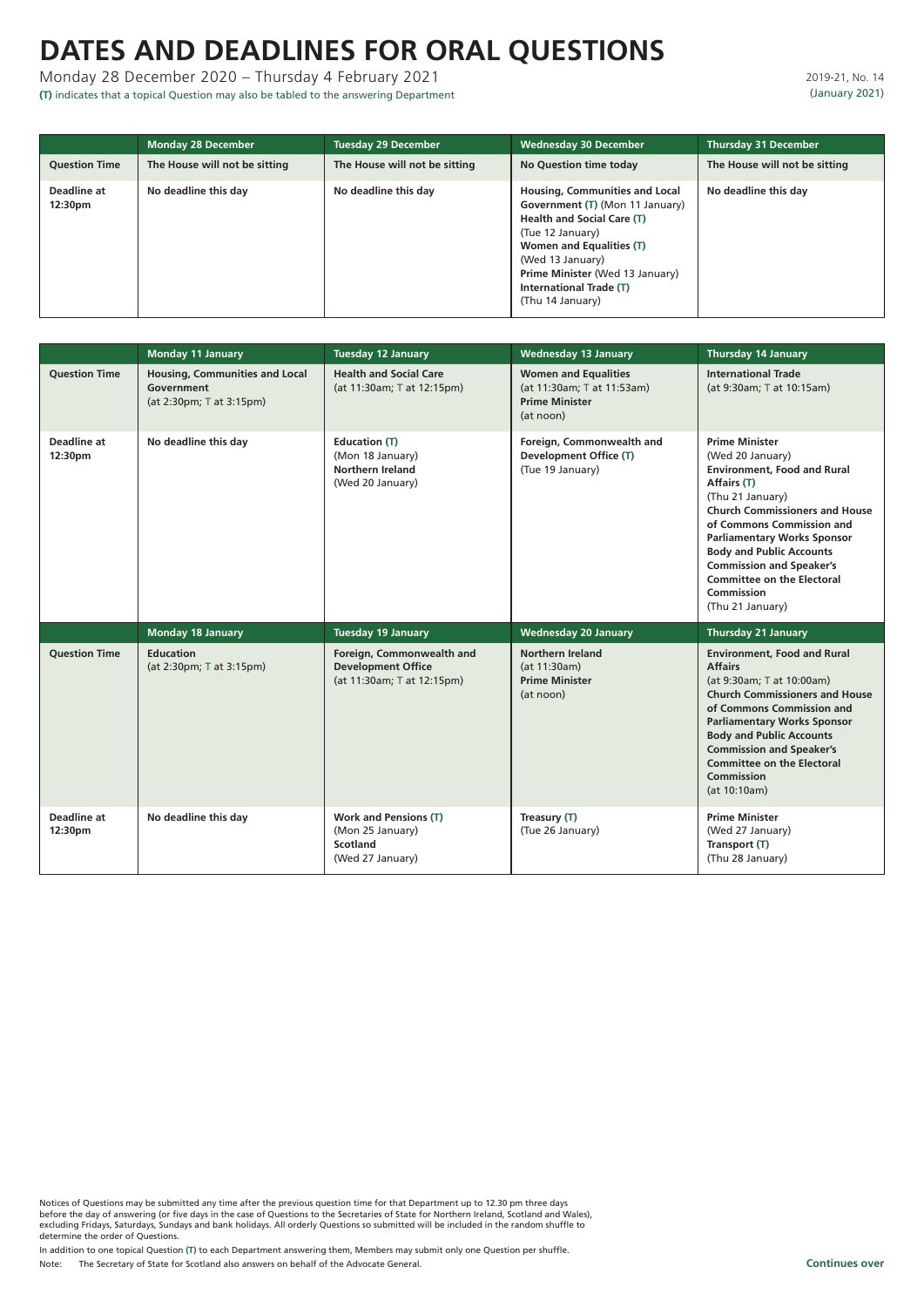Notices of Questions may be submitted any time after the previous question time for that Department up to 12.30 pm three days before the day of answering (or five days in the case of Questions to the Secretaries of State for Northern Ireland, Scotland and Wales), excluding Fridays, Saturdays, Sundays and bank holidays. All orderly Questions so submitted will be included in the random shuffle to determine the order of Questions.

In addition to one topical Question **(T)** to each Department answering them, Members may submit only one Question per shuffle.

Note: The Secretary of State for Scotland also answers on behalf of the Advocate General.

### 2019-21, No. 14 (January 2021)

# **DATES AND DEADLINES FOR ORAL QUESTIONS**

### Monday 28 December 2020 – Thursday 4 February 2021

**(T)** indicates that a topical Question may also be tabled to the answering Department

|                        | <b>Monday 28 December</b>     | <b>Tuesday 29 December</b>    | <b>Wednesday 30 December</b>                                                                                                                                                                                                                                                             | <b>Thursday 31 December</b>   |
|------------------------|-------------------------------|-------------------------------|------------------------------------------------------------------------------------------------------------------------------------------------------------------------------------------------------------------------------------------------------------------------------------------|-------------------------------|
| <b>Ouestion Time</b>   | The House will not be sitting | The House will not be sitting | <b>No Question time today</b>                                                                                                                                                                                                                                                            | The House will not be sitting |
| Deadline at<br>12:30pm | No deadline this day          | No deadline this day          | <b>Housing, Communities and Local</b><br>Government (T) (Mon 11 January)<br><b>Health and Social Care (T)</b><br>(Tue 12 January)<br><b>Women and Equalities (T)</b><br>(Wed 13 January)<br><b>Prime Minister (Wed 13 January)</b><br><b>International Trade (T)</b><br>(Thu 14 January) | No deadline this day          |

|                               | <b>Monday 11 January</b>                                                        | <b>Tuesday 12 January</b>                                                               | <b>Wednesday 13 January</b>                                                                     | <b>Thursday 14 January</b>                                                                                                                                                                                                                                                                                                                                                  |
|-------------------------------|---------------------------------------------------------------------------------|-----------------------------------------------------------------------------------------|-------------------------------------------------------------------------------------------------|-----------------------------------------------------------------------------------------------------------------------------------------------------------------------------------------------------------------------------------------------------------------------------------------------------------------------------------------------------------------------------|
| <b>Question Time</b>          | <b>Housing, Communities and Local</b><br>Government<br>(at 2:30pm; T at 3:15pm) | <b>Health and Social Care</b><br>(at 11:30am; T at 12:15pm)                             | <b>Women and Equalities</b><br>(at 11:30am; T at 11:53am)<br><b>Prime Minister</b><br>(at noon) | <b>International Trade</b><br>(at 9:30am; T at 10:15am)                                                                                                                                                                                                                                                                                                                     |
| <b>Deadline at</b><br>12:30pm | No deadline this day                                                            | <b>Education (T)</b><br>(Mon 18 January)<br><b>Northern Ireland</b><br>(Wed 20 January) | Foreign, Commonwealth and<br><b>Development Office (T)</b><br>(Tue 19 January)                  | <b>Prime Minister</b><br>(Wed 20 January)<br><b>Environment, Food and Rural</b><br>Affairs (T)<br>(Thu 21 January)<br><b>Church Commissioners and House</b><br>of Commons Commission and<br><b>Parliamentary Works Sponsor</b><br><b>Body and Public Accounts</b><br><b>Commission and Speaker's</b><br><b>Committee on the Electoral</b><br>Commission<br>(Thu 21 January) |
|                               | <b>Monday 18 January</b>                                                        | <b>Tuesday 19 January</b>                                                               | <b>Wednesday 20 January</b>                                                                     | <b>Thursday 21 January</b>                                                                                                                                                                                                                                                                                                                                                  |
| <b>Question Time</b>          | <b>Education</b><br>(at 2:30pm; T at 3:15pm)                                    | Foreign, Commonwealth and<br><b>Development Office</b><br>(at 11:30am; T at 12:15pm)    | <b>Northern Ireland</b><br>(at 11:30am)<br><b>Prime Minister</b><br>(at noon)                   | <b>Environment, Food and Rural</b><br><b>Affairs</b><br>(at 9:30am; T at 10:00am)<br><b>Church Commissioners and House</b><br>of Commons Commission and<br><b>Parliamentary Works Sponsor</b><br><b>Body and Public Accounts</b><br><b>Commission and Speaker's</b><br><b>Committee on the Electoral</b><br><b>Commission</b><br>(at 10:10am)                               |
| <b>Deadline at</b><br>12:30pm | No deadline this day                                                            | <b>Work and Pensions (T)</b><br>(Mon 25 January)<br><b>Scotland</b><br>(Wed 27 January) | Treasury (T)<br>(Tue 26 January)                                                                | <b>Prime Minister</b><br>(Wed 27 January)<br>Transport (T)<br>(Thu 28 January)                                                                                                                                                                                                                                                                                              |

#### **Continues over**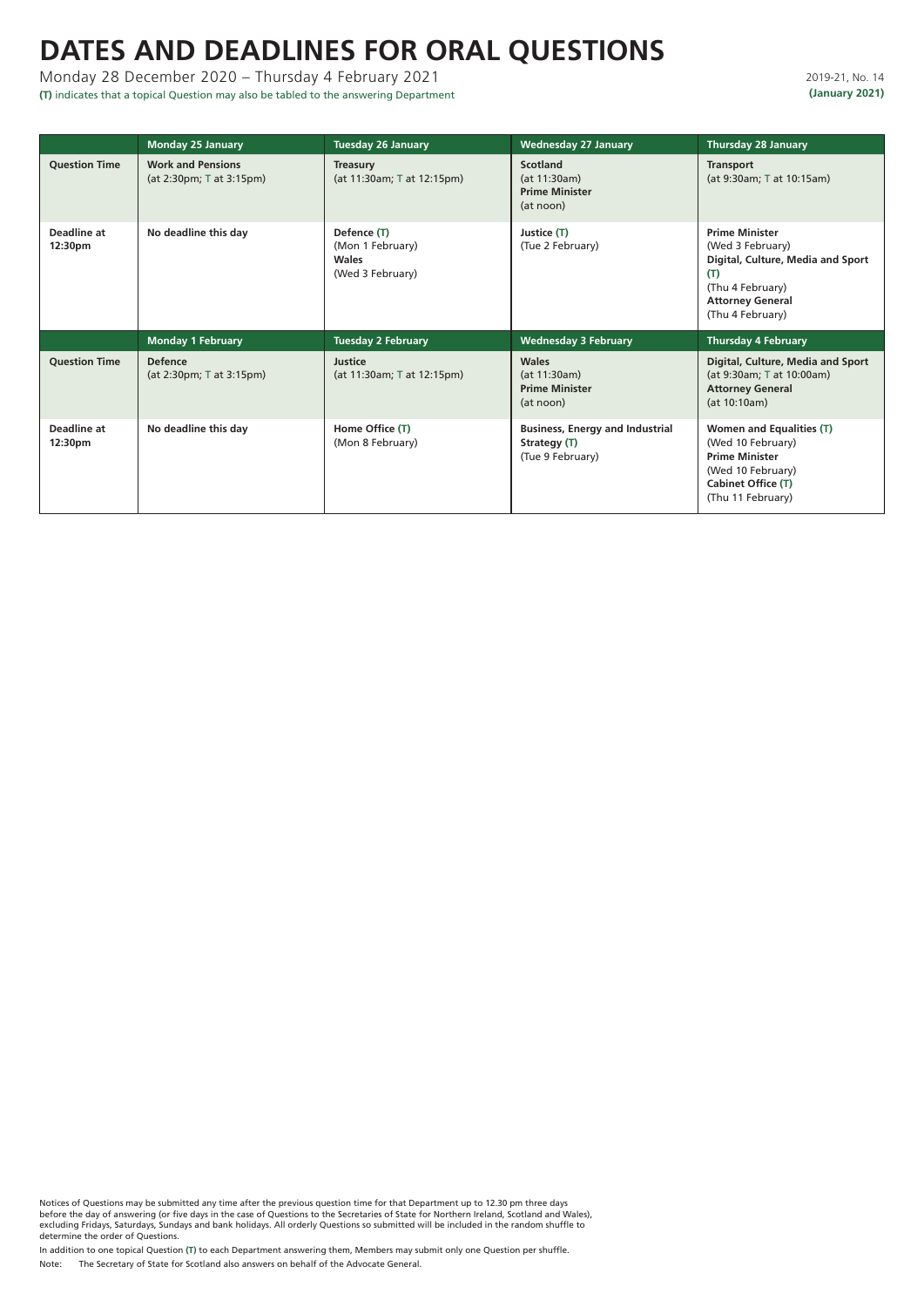# **DATES AND DEADLINES FOR ORAL QUESTIONS**

Monday 28 December 2020 – Thursday 4 February 2021

**(T)** indicates that a topical Question may also be tabled to the answering Department

Notices of Questions may be submitted any time after the previous question time for that Department up to 12.30 pm three days before the day of answering (or five days in the case of Questions to the Secretaries of State for Northern Ireland, Scotland and Wales), excluding Fridays, Saturdays, Sundays and bank holidays. All orderly Questions so submitted will be included in the random shuffle to determine the order of Questions.

In addition to one topical Question **(T)** to each Department answering them, Members may submit only one Question per shuffle.

Note: The Secretary of State for Scotland also answers on behalf of the Advocate General.

### 2019-21, No. 14 **(January 2021)**

|                               | <b>Monday 25 January</b>                             | <b>Tuesday 26 January</b>                                           | <b>Wednesday 27 January</b>                                                | <b>Thursday 28 January</b>                                                                                                                               |
|-------------------------------|------------------------------------------------------|---------------------------------------------------------------------|----------------------------------------------------------------------------|----------------------------------------------------------------------------------------------------------------------------------------------------------|
| <b>Question Time</b>          | <b>Work and Pensions</b><br>(at 2:30pm; T at 3:15pm) | <b>Treasury</b><br>(at 11:30am; T at 12:15pm)                       | <b>Scotland</b><br>(at 11:30am)<br><b>Prime Minister</b><br>(at noon)      | <b>Transport</b><br>(at 9:30am; T at 10:15am)                                                                                                            |
| <b>Deadline at</b><br>12:30pm | No deadline this day                                 | Defence (T)<br>(Mon 1 February)<br><b>Wales</b><br>(Wed 3 February) | Justice (T)<br>(Tue 2 February)                                            | <b>Prime Minister</b><br>(Wed 3 February)<br>Digital, Culture, Media and Sport<br>(T)<br>(Thu 4 February)<br><b>Attorney General</b><br>(Thu 4 February) |
|                               | <b>Monday 1 February</b>                             | <b>Tuesday 2 February</b>                                           | <b>Wednesday 3 February</b>                                                | <b>Thursday 4 February</b>                                                                                                                               |
| <b>Question Time</b>          | <b>Defence</b><br>(at 2:30pm; T at 3:15pm)           | <b>Justice</b><br>(at 11:30am; T at 12:15pm)                        | <b>Wales</b><br>(at 11:30am)<br><b>Prime Minister</b><br>(at noon)         | Digital, Culture, Media and Sport<br>(at 9:30am; T at 10:00am)<br><b>Attorney General</b><br>(at 10:10am)                                                |
| <b>Deadline at</b><br>12:30pm | No deadline this day                                 | Home Office (T)<br>(Mon 8 February)                                 | <b>Business, Energy and Industrial</b><br>Strategy (T)<br>(Tue 9 February) | <b>Women and Equalities (T)</b><br>(Wed 10 February)<br><b>Prime Minister</b><br>(Wed 10 February)<br><b>Cabinet Office (T)</b><br>(Thu 11 February)     |